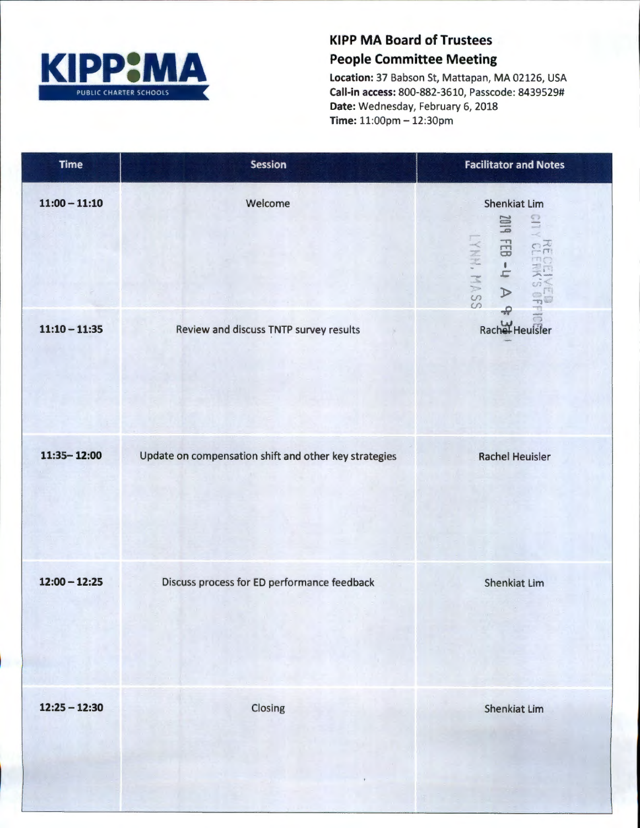

## KIPP MA Board of Trustees People Committee Meeting

Location: 37 Babson St, Mattapan, MA 02126, USA Call-in access: 800-882-3610, Passcode: 8439529# Date: Wednesday, February 6, 2018 Time: 11:00pm - 12:30pm

| <b>Time</b>     | <b>Session</b>                                        | <b>Facilitator and Notes</b>                                                                                |
|-----------------|-------------------------------------------------------|-------------------------------------------------------------------------------------------------------------|
| $11:00 - 11:10$ | Welcome                                               | <b>Shenkiat Lim</b><br>110<br><b>PIOS</b><br>$\forall$ h-83<br>LYNN. MASS<br><b>NECEIVER</b><br>$\clubsuit$ |
| $11:10 - 11:35$ | Review and discuss TNTP survey results                | $\bar{\circ}$<br>Rachel Heufster                                                                            |
| $11:35 - 12:00$ | Update on compensation shift and other key strategies | <b>Rachel Heuisler</b>                                                                                      |
| $12:00 - 12:25$ | Discuss process for ED performance feedback           | <b>Shenkiat Lim</b>                                                                                         |
| $12:25 - 12:30$ | Closing                                               | Shenkiat Lim                                                                                                |